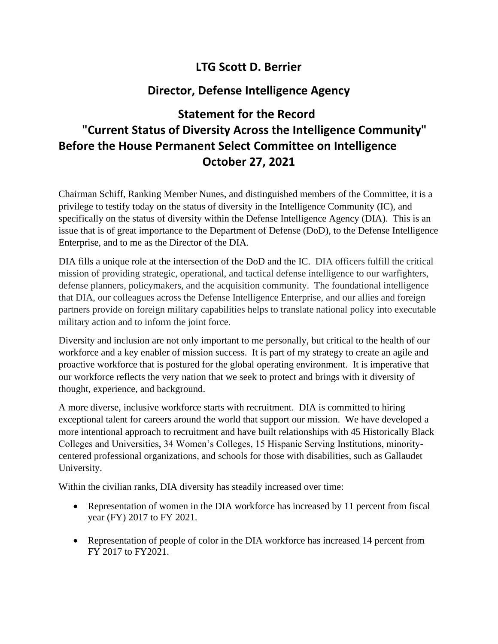## **LTG Scott D. Berrier**

## **Director, Defense Intelligence Agency**

## **Statement for the Record "Current Status of Diversity Across the Intelligence Community" Before the House Permanent Select Committee on Intelligence October 27, 2021**

Chairman Schiff, Ranking Member Nunes, and distinguished members of the Committee, it is a privilege to testify today on the status of diversity in the Intelligence Community (IC), and specifically on the status of diversity within the Defense Intelligence Agency (DIA). This is an issue that is of great importance to the Department of Defense (DoD), to the Defense Intelligence Enterprise, and to me as the Director of the DIA.

DIA fills a unique role at the intersection of the DoD and the IC. DIA officers fulfill the critical mission of providing strategic, operational, and tactical defense intelligence to our warfighters, defense planners, policymakers, and the acquisition community. The foundational intelligence that DIA, our colleagues across the Defense Intelligence Enterprise, and our allies and foreign partners provide on foreign military capabilities helps to translate national policy into executable military action and to inform the joint force.

Diversity and inclusion are not only important to me personally, but critical to the health of our workforce and a key enabler of mission success. It is part of my strategy to create an agile and proactive workforce that is postured for the global operating environment. It is imperative that our workforce reflects the very nation that we seek to protect and brings with it diversity of thought, experience, and background.

A more diverse, inclusive workforce starts with recruitment. DIA is committed to hiring exceptional talent for careers around the world that support our mission. We have developed a more intentional approach to recruitment and have built relationships with 45 Historically Black Colleges and Universities, 34 Women's Colleges, 15 Hispanic Serving Institutions, minoritycentered professional organizations, and schools for those with disabilities, such as Gallaudet University.

Within the civilian ranks, DIA diversity has steadily increased over time:

- Representation of women in the DIA workforce has increased by 11 percent from fiscal year (FY) 2017 to FY 2021.
- Representation of people of color in the DIA workforce has increased 14 percent from FY 2017 to FY2021.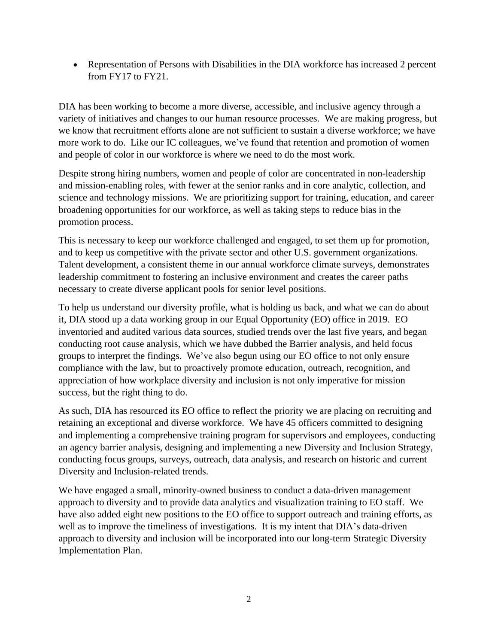• Representation of Persons with Disabilities in the DIA workforce has increased 2 percent from FY17 to FY21.

DIA has been working to become a more diverse, accessible, and inclusive agency through a variety of initiatives and changes to our human resource processes. We are making progress, but we know that recruitment efforts alone are not sufficient to sustain a diverse workforce; we have more work to do. Like our IC colleagues, we've found that retention and promotion of women and people of color in our workforce is where we need to do the most work.

Despite strong hiring numbers, women and people of color are concentrated in non-leadership and mission-enabling roles, with fewer at the senior ranks and in core analytic, collection, and science and technology missions. We are prioritizing support for training, education, and career broadening opportunities for our workforce, as well as taking steps to reduce bias in the promotion process.

This is necessary to keep our workforce challenged and engaged, to set them up for promotion, and to keep us competitive with the private sector and other U.S. government organizations. Talent development, a consistent theme in our annual workforce climate surveys, demonstrates leadership commitment to fostering an inclusive environment and creates the career paths necessary to create diverse applicant pools for senior level positions.

To help us understand our diversity profile, what is holding us back, and what we can do about it, DIA stood up a data working group in our Equal Opportunity (EO) office in 2019. EO inventoried and audited various data sources, studied trends over the last five years, and began conducting root cause analysis, which we have dubbed the Barrier analysis, and held focus groups to interpret the findings. We've also begun using our EO office to not only ensure compliance with the law, but to proactively promote education, outreach, recognition, and appreciation of how workplace diversity and inclusion is not only imperative for mission success, but the right thing to do.

As such, DIA has resourced its EO office to reflect the priority we are placing on recruiting and retaining an exceptional and diverse workforce. We have 45 officers committed to designing and implementing a comprehensive training program for supervisors and employees, conducting an agency barrier analysis, designing and implementing a new Diversity and Inclusion Strategy, conducting focus groups, surveys, outreach, data analysis, and research on historic and current Diversity and Inclusion-related trends.

We have engaged a small, minority-owned business to conduct a data-driven management approach to diversity and to provide data analytics and visualization training to EO staff. We have also added eight new positions to the EO office to support outreach and training efforts, as well as to improve the timeliness of investigations. It is my intent that DIA's data-driven approach to diversity and inclusion will be incorporated into our long-term Strategic Diversity Implementation Plan.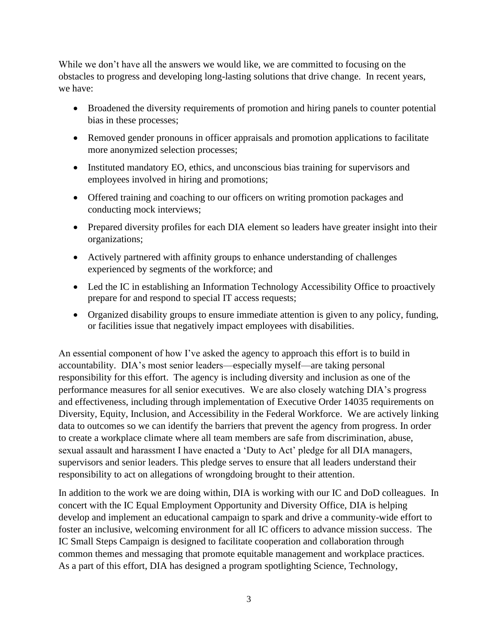While we don't have all the answers we would like, we are committed to focusing on the obstacles to progress and developing long-lasting solutions that drive change. In recent years, we have:

- Broadened the diversity requirements of promotion and hiring panels to counter potential bias in these processes;
- Removed gender pronouns in officer appraisals and promotion applications to facilitate more anonymized selection processes;
- Instituted mandatory EO, ethics, and unconscious bias training for supervisors and employees involved in hiring and promotions;
- Offered training and coaching to our officers on writing promotion packages and conducting mock interviews;
- Prepared diversity profiles for each DIA element so leaders have greater insight into their organizations;
- Actively partnered with affinity groups to enhance understanding of challenges experienced by segments of the workforce; and
- Led the IC in establishing an Information Technology Accessibility Office to proactively prepare for and respond to special IT access requests;
- Organized disability groups to ensure immediate attention is given to any policy, funding, or facilities issue that negatively impact employees with disabilities.

An essential component of how I've asked the agency to approach this effort is to build in accountability. DIA's most senior leaders—especially myself—are taking personal responsibility for this effort. The agency is including diversity and inclusion as one of the performance measures for all senior executives. We are also closely watching DIA's progress and effectiveness, including through implementation of Executive Order 14035 requirements on Diversity, Equity, Inclusion, and Accessibility in the Federal Workforce. We are actively linking data to outcomes so we can identify the barriers that prevent the agency from progress. In order to create a workplace climate where all team members are safe from discrimination, abuse, sexual assault and harassment I have enacted a 'Duty to Act' pledge for all DIA managers, supervisors and senior leaders. This pledge serves to ensure that all leaders understand their responsibility to act on allegations of wrongdoing brought to their attention.

In addition to the work we are doing within, DIA is working with our IC and DoD colleagues. In concert with the IC Equal Employment Opportunity and Diversity Office, DIA is helping develop and implement an educational campaign to spark and drive a community-wide effort to foster an inclusive, welcoming environment for all IC officers to advance mission success. The IC Small Steps Campaign is designed to facilitate cooperation and collaboration through common themes and messaging that promote equitable management and workplace practices. As a part of this effort, DIA has designed a program spotlighting Science, Technology,